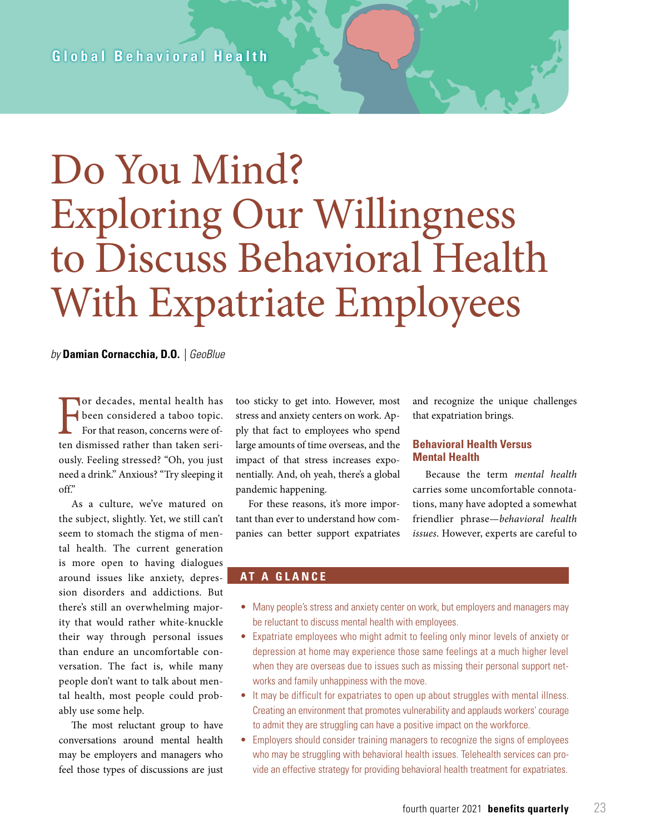# Do You Mind? Exploring Our Willingness to Discuss Behavioral Health With Expatriate Employees

#### *by* **Damian Cornacchia, D.O.** *| GeoBlue*

For decades, mental health has<br>been considered a taboo topic.<br>For that reason, concerns were of-<br>ten dismissed rather than taken seribeen considered a taboo topic. For that reason, concerns were often dismissed rather than taken seriously. Feeling stressed? "Oh, you just need a drink." Anxious? "Try sleeping it off."

As a culture, we've matured on the subject, slightly. Yet, we still can't seem to stomach the stigma of mental health. The current generation is more open to having dialogues around issues like anxiety, depression disorders and addictions. But there's still an overwhelming majority that would rather white-knuckle their way through personal issues than endure an uncomfortable conversation. The fact is, while many people don't want to talk about mental health, most people could probably use some help.

The most reluctant group to have conversations around mental health may be employers and managers who feel those types of discussions are just too sticky to get into. However, most stress and anxiety centers on work. Apply that fact to employees who spend large amounts of time overseas, and the impact of that stress increases exponentially. And, oh yeah, there's a global pandemic happening.

For these reasons, it's more important than ever to understand how companies can better support expatriates and recognize the unique challenges that expatriation brings.

#### **Behavioral Health Versus Mental Health**

Because the term *mental health*  carries some uncomfortable connotations, many have adopted a somewhat friendlier phrase—*behavioral health issues*. However, experts are careful to

#### **AT A GLANCE**

- Many people's stress and anxiety center on work, but employers and managers may be reluctant to discuss mental health with employees.
- Expatriate employees who might admit to feeling only minor levels of anxiety or depression at home may experience those same feelings at a much higher level when they are overseas due to issues such as missing their personal support networks and family unhappiness with the move.
- It may be difficult for expatriates to open up about struggles with mental illness. Creating an environment that promotes vulnerability and applauds workers' courage to admit they are struggling can have a positive impact on the workforce.
- Employers should consider training managers to recognize the signs of employees who may be struggling with behavioral health issues. Telehealth services can provide an effective strategy for providing behavioral health treatment for expatriates.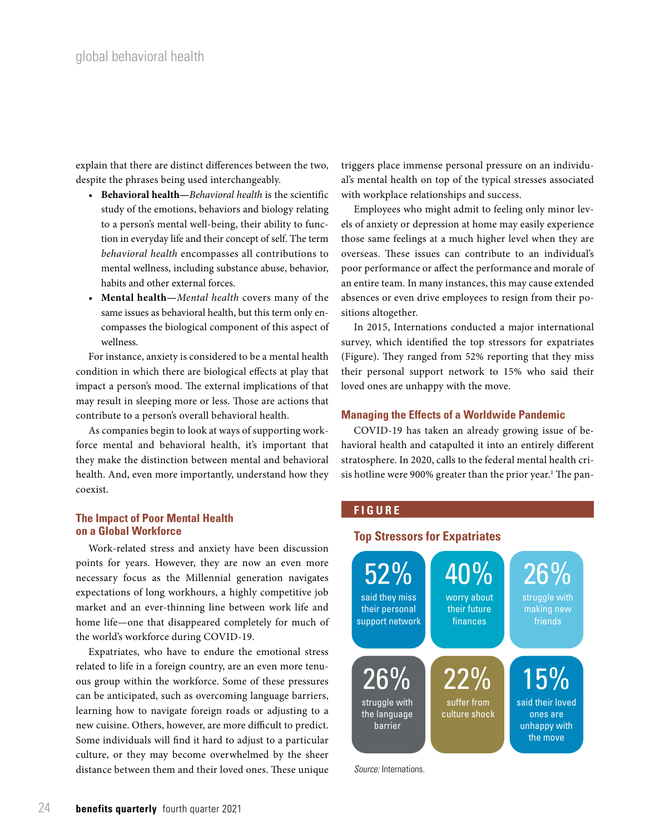explain that there are distinct differences between the two, despite the phrases being used interchangeably.

- **Behavioral health—***Behavioral health* is the scientific study of the emotions, behaviors and biology relating to a person's mental well-being, their ability to function in everyday life and their concept of self. The term *behavioral health* encompasses all contributions to mental wellness, including substance abuse, behavior, habits and other external forces.
- **Mental health—***Mental health* covers many of the same issues as behavioral health, but this term only encompasses the biological component of this aspect of wellness.

For instance, anxiety is considered to be a mental health condition in which there are biological effects at play that impact a person's mood. The external implications of that may result in sleeping more or less. Those are actions that contribute to a person's overall behavioral health.

As companies begin to look at ways of supporting workforce mental and behavioral health, it's important that they make the distinction between mental and behavioral health. And, even more importantly, understand how they coexist.

#### **The Impact of Poor Mental Health on a Global Workforce**

Work-related stress and anxiety have been discussion points for years. However, they are now an even more necessary focus as the Millennial generation navigates expectations of long workhours, a highly competitive job market and an ever-thinning line between work life and home life—one that disappeared completely for much of the world's workforce during COVID-19.

Expatriates, who have to endure the emotional stress related to life in a foreign country, are an even more tenuous group within the workforce. Some of these pressures can be anticipated, such as overcoming language barriers, learning how to navigate foreign roads or adjusting to a new cuisine. Others, however, are more difficult to predict. Some individuals will find it hard to adjust to a particular culture, or they may become overwhelmed by the sheer distance between them and their loved ones. These unique triggers place immense personal pressure on an individual's mental health on top of the typical stresses associated with workplace relationships and success.

Employees who might admit to feeling only minor levels of anxiety or depression at home may easily experience those same feelings at a much higher level when they are overseas. These issues can contribute to an individual's poor performance or affect the performance and morale of an entire team. In many instances, this may cause extended absences or even drive employees to resign from their positions altogether.

In 2015, Internations conducted a major international survey, which identified the top stressors for expatriates (Figure). They ranged from 52% reporting that they miss their personal support network to 15% who said their loved ones are unhappy with the move.

#### **Managing the Effects of a Worldwide Pandemic**

COVID-19 has taken an already growing issue of behavioral health and catapulted it into an entirely different stratosphere. In 2020, calls to the federal mental health crisis hotline were 900% greater than the prior year. $^1$  The pan-

### **FIGURE**

### **Top Stressors for Expatriates**



*Source:* Internations.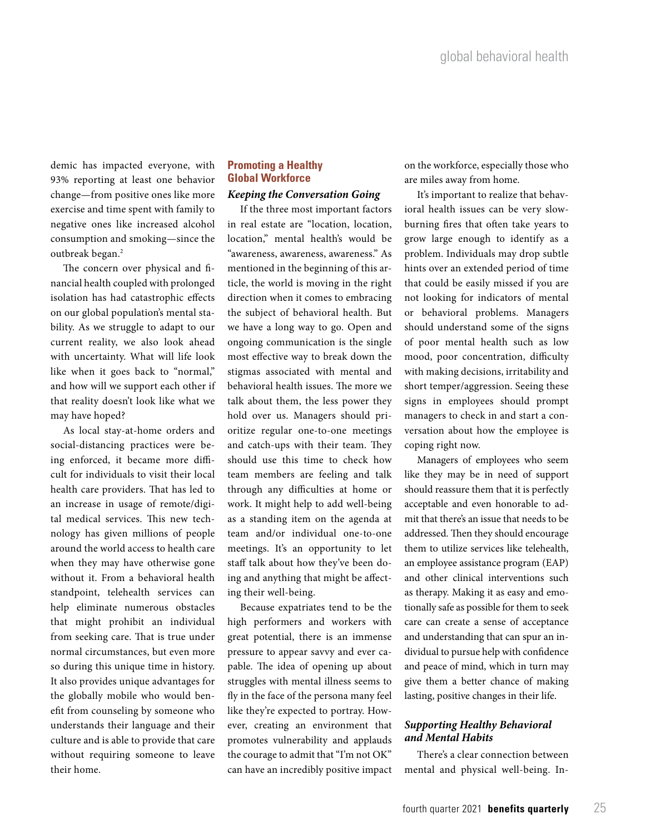demic has impacted everyone, with 93% reporting at least one behavior change—from positive ones like more exercise and time spent with family to negative ones like increased alcohol consumption and smoking—since the outbreak began.2

The concern over physical and financial health coupled with prolonged isolation has had catastrophic effects on our global population's mental stability. As we struggle to adapt to our current reality, we also look ahead with uncertainty. What will life look like when it goes back to "normal," and how will we support each other if that reality doesn't look like what we may have hoped?

As local stay-at-home orders and social-distancing practices were being enforced, it became more difficult for individuals to visit their local health care providers. That has led to an increase in usage of remote/digital medical services. This new technology has given millions of people around the world access to health care when they may have otherwise gone without it. From a behavioral health standpoint, telehealth services can help eliminate numerous obstacles that might prohibit an individual from seeking care. That is true under normal circumstances, but even more so during this unique time in history. It also provides unique advantages for the globally mobile who would benefit from counseling by someone who understands their language and their culture and is able to provide that care without requiring someone to leave their home.

## **Promoting a Healthy Global Workforce**

#### *Keeping the Conversation Going*

If the three most important factors in real estate are "location, location, location," mental health's would be "awareness, awareness, awareness." As mentioned in the beginning of this article, the world is moving in the right direction when it comes to embracing the subject of behavioral health. But we have a long way to go. Open and ongoing communication is the single most effective way to break down the stigmas associated with mental and behavioral health issues. The more we talk about them, the less power they hold over us. Managers should prioritize regular one-to-one meetings and catch-ups with their team. They should use this time to check how team members are feeling and talk through any difficulties at home or work. It might help to add well-being as a standing item on the agenda at team and/or individual one-to-one meetings. It's an opportunity to let staff talk about how they've been doing and anything that might be affecting their well-being.

Because expatriates tend to be the high performers and workers with great potential, there is an immense pressure to appear savvy and ever capable. The idea of opening up about struggles with mental illness seems to fly in the face of the persona many feel like they're expected to portray. However, creating an environment that promotes vulnerability and applauds the courage to admit that "I'm not OK" can have an incredibly positive impact on the workforce, especially those who are miles away from home.

It's important to realize that behavioral health issues can be very slowburning fires that often take years to grow large enough to identify as a problem. Individuals may drop subtle hints over an extended period of time that could be easily missed if you are not looking for indicators of mental or behavioral problems. Managers should understand some of the signs of poor mental health such as low mood, poor concentration, difficulty with making decisions, irritability and short temper/aggression. Seeing these signs in employees should prompt managers to check in and start a conversation about how the employee is coping right now.

Managers of employees who seem like they may be in need of support should reassure them that it is perfectly acceptable and even honorable to admit that there's an issue that needs to be addressed. Then they should encourage them to utilize services like telehealth, an employee assistance program (EAP) and other clinical interventions such as therapy. Making it as easy and emotionally safe as possible for them to seek care can create a sense of acceptance and understanding that can spur an individual to pursue help with confidence and peace of mind, which in turn may give them a better chance of making lasting, positive changes in their life.

#### *Supporting Healthy Behavioral and Mental Habits*

There's a clear connection between mental and physical well-being. In